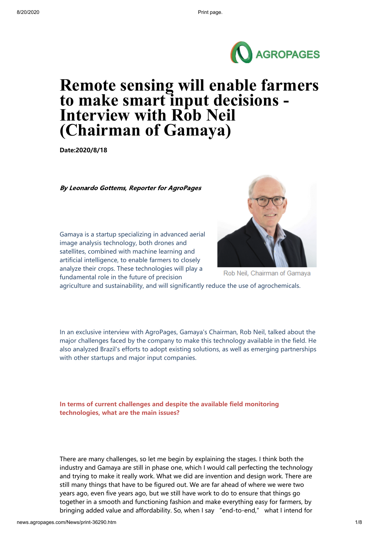

# **Remote sensing will enable farmers to make smart input decisions - Interview with Rob Neil (Chairman of Gamaya)**

**Date:2020/8/18**

By Leonardo Gottems, Reporter for AgroPages

Gamaya is a startup specializing in advanced aerial image analysis technology, both drones and satellites, combined with machine learning and artificial intelligence, to enable farmers to closely analyze their crops. These technologies will play a fundamental role in the future of precision



Rob Neil, Chairman of Gamaya

agriculture and sustainability, and will significantly reduce the use of agrochemicals.

In an exclusive interview with AgroPages, Gamaya's Chairman, Rob Neil, talked about the major challenges faced by the company to make this technology available in the field. He also analyzed Brazil's efforts to adopt existing solutions, as well as emerging partnerships with other startups and major input companies.

**In terms of current challenges and despite the available field monitoring technologies, what are the main issues?**

There are many challenges, so let me begin by explaining the stages. I think both the industry and Gamaya are still in phase one, which I would call perfecting the technology and trying to make it really work. What we did are invention and design work. There are still many things that have to be figured out. We are far ahead of where we were two years ago, even five years ago, but we still have work to do to ensure that things go together in a smooth and functioning fashion and make everything easy for farmers, by bringing added value and affordability. So, when I say "end-to-end," what I intend for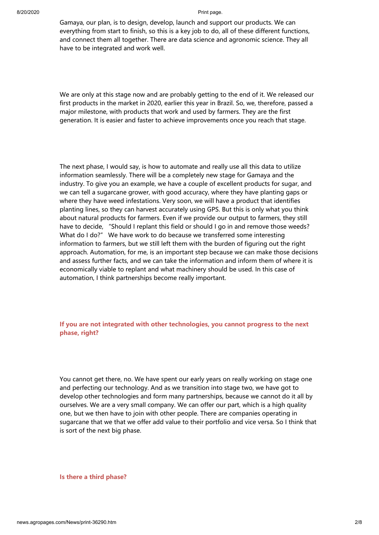Gamaya, our plan, is to design, develop, launch and support our products. We can everything from start to finish, so this is a key job to do, all of these different functions, and connect them all together. There are data science and agronomic science. They all have to be integrated and work well.

We are only at this stage now and are probably getting to the end of it. We released our first products in the market in 2020, earlier this year in Brazil. So, we, therefore, passed a major milestone, with products that work and used by farmers. They are the first generation. It is easier and faster to achieve improvements once you reach that stage.

The next phase, I would say, is how to automate and really use all this data to utilize information seamlessly. There will be a completely new stage for Gamaya and the industry. To give you an example, we have a couple of excellent products for sugar, and we can tell a sugarcane grower, with good accuracy, where they have planting gaps or where they have weed infestations. Very soon, we will have a product that identifies planting lines, so they can harvest accurately using GPS. But this is only what you think about natural products for farmers. Even if we provide our output to farmers, they still have to decide, "Should I replant this field or should I go in and remove those weeds? What do I do?" We have work to do because we transferred some interesting information to farmers, but we still left them with the burden of figuring out the right approach. Automation, for me, is an important step because we can make those decisions and assess further facts, and we can take the information and inform them of where it is economically viable to replant and what machinery should be used. In this case of automation, I think partnerships become really important.

# **If you are not integrated with other technologies, you cannot progress to the next phase, right?**

You cannot get there, no. We have spent our early years on really working on stage one and perfecting our technology. And as we transition into stage two, we have got to develop other technologies and form many partnerships, because we cannot do it all by ourselves. We are a very small company. We can offer our part, which is a high quality one, but we then have to join with other people. There are companies operating in sugarcane that we that we offer add value to their portfolio and vice versa. So I think that is sort of the next big phase.

**Is there a third phase?**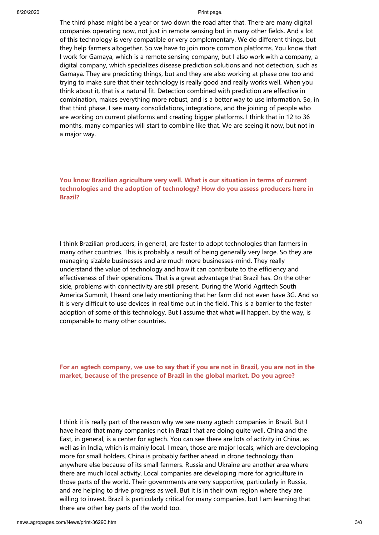The third phase might be a year or two down the road after that. There are many digital companies operating now, not just in remote sensing but in many other fields. And a lot of this technology is very compatible or very complementary. We do different things, but they help farmers altogether. So we have to join more common platforms. You know that I work for Gamaya, which is a remote sensing company, but I also work with a company, a digital company, which specializes disease prediction solutions and not detection, such as Gamaya. They are predicting things, but and they are also working at phase one too and trying to make sure that their technology is really good and really works well. When you think about it, that is a natural fit. Detection combined with prediction are effective in combination, makes everything more robust, and is a better way to use information. So, in that third phase, I see many consolidations, integrations, and the joining of people who are working on current platforms and creating bigger platforms. I think that in 12 to 36 months, many companies will start to combine like that. We are seeing it now, but not in a major way.

**You know Brazilian agriculture very well. What is our situation in terms of current technologies and the adoption of technology? How do you assess producers here in Brazil?** 

I think Brazilian producers, in general, are faster to adopt technologies than farmers in many other countries. This is probably a result of being generally very large. So they are managing sizable businesses and are much more businesses-mind. They really understand the value of technology and how it can contribute to the efficiency and effectiveness of their operations. That is a great advantage that Brazil has. On the other side, problems with connectivity are still present. During the World Agritech South America Summit, I heard one lady mentioning that her farm did not even have 3G. And so it is very difficult to use devices in real time out in the field. This is a barrier to the faster adoption of some of this technology. But I assume that what will happen, by the way, is comparable to many other countries.

## **For an agtech company, we use to say that if you are not in Brazil, you are not in the market, because of the presence of Brazil in the global market. Do you agree?**

I think it is really part of the reason why we see many agtech companies in Brazil. But I have heard that many companies not in Brazil that are doing quite well. China and the East, in general, is a center for agtech. You can see there are lots of activity in China, as well as in India, which is mainly local. I mean, those are major locals, which are developing more for small holders. China is probably farther ahead in drone technology than anywhere else because of its small farmers. Russia and Ukraine are another area where there are much local activity. Local companies are developing more for agriculture in those parts of the world. Their governments are very supportive, particularly in Russia, and are helping to drive progress as well. But it is in their own region where they are willing to invest. Brazil is particularly critical for many companies, but I am learning that there are other key parts of the world too.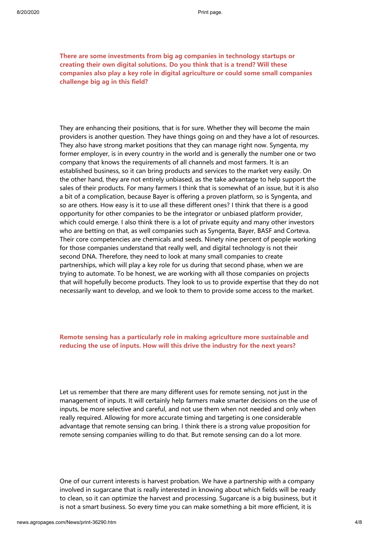**There are some investments from big ag companies in technology startups or creating their own digital solutions. Do you think that is a trend? Will these companies also play a key role in digital agriculture or could some small companies challenge big ag in this field?**

They are enhancing their positions, that is for sure. Whether they will become the main providers is another question. They have things going on and they have a lot of resources. They also have strong market positions that they can manage right now. Syngenta, my former employer, is in every country in the world and is generally the number one or two company that knows the requirements of all channels and most farmers. It is an established business, so it can bring products and services to the market very easily. On the other hand, they are not entirely unbiased, as the take advantage to help support the sales of their products. For many farmers I think that is somewhat of an issue, but it is also a bit of a complication, because Bayer is offering a proven platform, so is Syngenta, and so are others. How easy is it to use all these different ones? I think that there is a good opportunity for other companies to be the integrator or unbiased platform provider, which could emerge. I also think there is a lot of private equity and many other investors who are betting on that, as well companies such as Syngenta, Bayer, BASF and Corteva. Their core competencies are chemicals and seeds. Ninety nine percent of people working for those companies understand that really well, and digital technology is not their second DNA. Therefore, they need to look at many small companies to create partnerships, which will play a key role for us during that second phase, when we are trying to automate. To be honest, we are working with all those companies on projects that will hopefully become products. They look to us to provide expertise that they do not necessarily want to develop, and we look to them to provide some access to the market.

# **Remote sensing has a particularly role in making agriculture more sustainable and reducing the use of inputs. How will this drive the industry for the next years?**

Let us remember that there are many different uses for remote sensing, not just in the management of inputs. It will certainly help farmers make smarter decisions on the use of inputs, be more selective and careful, and not use them when not needed and only when really required. Allowing for more accurate timing and targeting is one considerable advantage that remote sensing can bring. I think there is a strong value proposition for remote sensing companies willing to do that. But remote sensing can do a lot more.

One of our current interests is harvest probation. We have a partnership with a company involved in sugarcane that is really interested in knowing about which fields will be ready to clean, so it can optimize the harvest and processing. Sugarcane is a big business, but it is not a smart business. So every time you can make something a bit more efficient, it is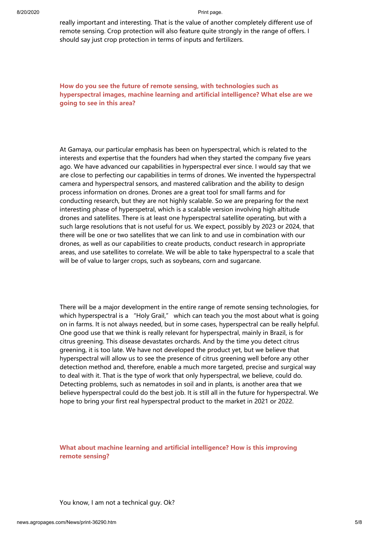really important and interesting. That is the value of another completely different use of remote sensing. Crop protection will also feature quite strongly in the range of offers. I should say just crop protection in terms of inputs and fertilizers.

**How do you see the future of remote sensing, with technologies such as hyperspectral images, machine learning and artificial intelligence? What else are we going to see in this area?**

At Gamaya, our particular emphasis has been on hyperspectral, which is related to the interests and expertise that the founders had when they started the company five years ago. We have advanced our capabilities in hyperspectral ever since. I would say that we are close to perfecting our capabilities in terms of drones. We invented the hyperspectral camera and hyperspectral sensors, and mastered calibration and the ability to design process information on drones. Drones are a great tool for small farms and for conducting research, but they are not highly scalable. So we are preparing for the next interesting phase of hyperspetral, which is a scalable version involving high altitude drones and satellites. There is at least one hyperspectral satellite operating, but with a such large resolutions that is not useful for us. We expect, possibly by 2023 or 2024, that there will be one or two satellites that we can link to and use in combination with our drones, as well as our capabilities to create products, conduct research in appropriate areas, and use satellites to correlate. We will be able to take hyperspectral to a scale that will be of value to larger crops, such as soybeans, corn and sugarcane.

There will be a major development in the entire range of remote sensing technologies, for which hyperspectral is a "Holy Grail," which can teach you the most about what is going on in farms. It is not always needed, but in some cases, hyperspectral can be really helpful. One good use that we think is really relevant for hyperspectral, mainly in Brazil, is for citrus greening. This disease devastates orchards. And by the time you detect citrus greening, it is too late. We have not developed the product yet, but we believe that hyperspectral will allow us to see the presence of citrus greening well before any other detection method and, therefore, enable a much more targeted, precise and surgical way to deal with it. That is the type of work that only hyperspectral, we believe, could do. Detecting problems, such as nematodes in soil and in plants, is another area that we believe hyperspectral could do the best job. It is still all in the future for hyperspectral. We hope to bring your first real hyperspectral product to the market in 2021 or 2022.

# **What about machine learning and artificial intelligence? How is this improving remote sensing?**

You know, I am not a technical guy. Ok?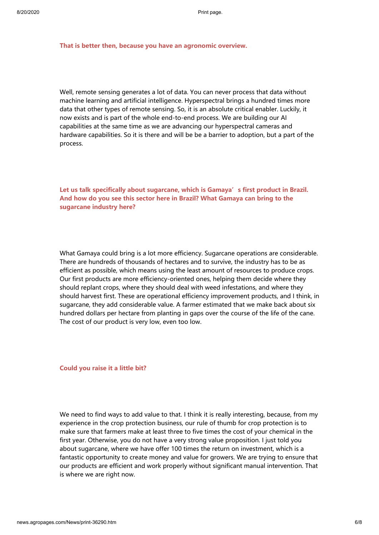### **That is better then, because you have an agronomic overview.**

Well, remote sensing generates a lot of data. You can never process that data without machine learning and artificial intelligence. Hyperspectral brings a hundred times more data that other types of remote sensing. So, it is an absolute critical enabler. Luckily, it now exists and is part of the whole end-to-end process. We are building our AI capabilities at the same time as we are advancing our hyperspectral cameras and hardware capabilities. So it is there and will be be a barrier to adoption, but a part of the process.

# Let us talk specifically about sugarcane, which is Gamaya's first product in Brazil. **And how do you see this sector here in Brazil? What Gamaya can bring to the sugarcane industry here?**

What Gamaya could bring is a lot more efficiency. Sugarcane operations are considerable. There are hundreds of thousands of hectares and to survive, the industry has to be as efficient as possible, which means using the least amount of resources to produce crops. Our first products are more efficiency-oriented ones, helping them decide where they should replant crops, where they should deal with weed infestations, and where they should harvest first. These are operational efficiency improvement products, and I think, in sugarcane, they add considerable value. A farmer estimated that we make back about six hundred dollars per hectare from planting in gaps over the course of the life of the cane. The cost of our product is very low, even too low.

#### **Could you raise it a little bit?**

We need to find ways to add value to that. I think it is really interesting, because, from my experience in the crop protection business, our rule of thumb for crop protection is to make sure that farmers make at least three to five times the cost of your chemical in the first year. Otherwise, you do not have a very strong value proposition. I just told you about sugarcane, where we have offer 100 times the return on investment, which is a fantastic opportunity to create money and value for growers. We are trying to ensure that our products are efficient and work properly without significant manual intervention. That is where we are right now.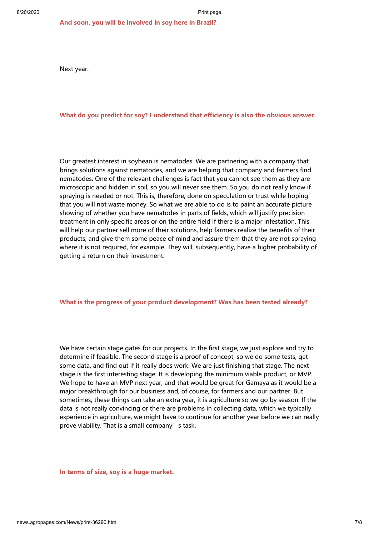Next year.

## **What do you predict for soy? I understand that efficiency is also the obvious answer.**

Our greatest interest in soybean is nematodes. We are partnering with a company that brings solutions against nematodes, and we are helping that company and farmers find nematodes. One of the relevant challenges is fact that you cannot see them as they are microscopic and hidden in soil, so you will never see them. So you do not really know if spraying is needed or not. This is, therefore, done on speculation or trust while hoping that you will not waste money. So what we are able to do is to paint an accurate picture showing of whether you have nematodes in parts of fields, which will justify precision treatment in only specific areas or on the entire field if there is a major infestation. This will help our partner sell more of their solutions, help farmers realize the benefits of their products, and give them some peace of mind and assure them that they are not spraying where it is not required, for example. They will, subsequently, have a higher probability of getting a return on their investment.

## **What is the progress of your product development? Was has been tested already?**

We have certain stage gates for our projects. In the first stage, we just explore and try to determine if feasible. The second stage is a proof of concept, so we do some tests, get some data, and find out if it really does work. We are just finishing that stage. The next stage is the first interesting stage. It is developing the minimum viable product, or MVP. We hope to have an MVP next year, and that would be great for Gamaya as it would be a major breakthrough for our business and, of course, for farmers and our partner. But sometimes, these things can take an extra year, it is agriculture so we go by season. If the data is not really convincing or there are problems in collecting data, which we typically experience in agriculture, we might have to continue for another year before we can really prove viability. That is a small company's task.

#### **In terms of size, soy is a huge market.**